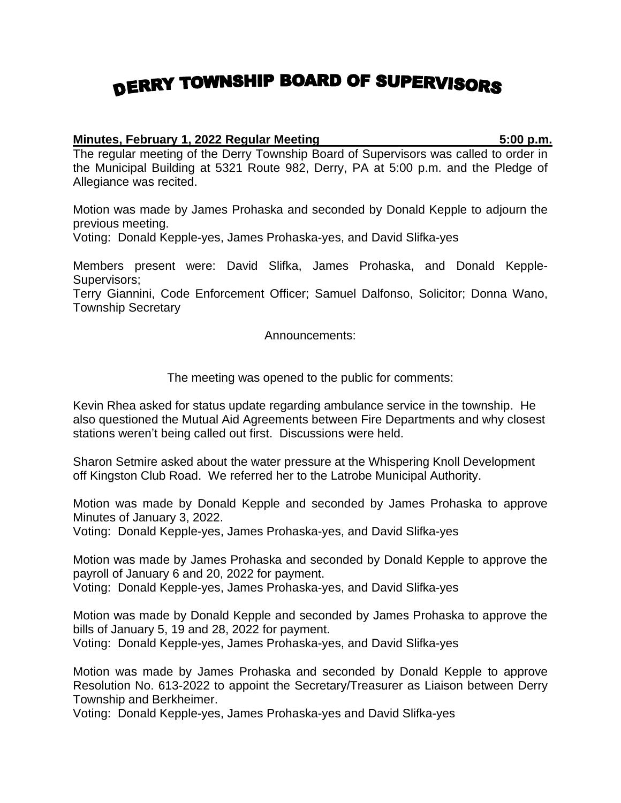## DERRY TOWNSHIP BOARD OF SUPERVISORS

## **Minutes, February 1, 2022 Regular Meeting 5:00 p.m.**

The regular meeting of the Derry Township Board of Supervisors was called to order in the Municipal Building at 5321 Route 982, Derry, PA at 5:00 p.m. and the Pledge of Allegiance was recited.

Motion was made by James Prohaska and seconded by Donald Kepple to adjourn the previous meeting.

Voting: Donald Kepple-yes, James Prohaska-yes, and David Slifka-yes

Members present were: David Slifka, James Prohaska, and Donald Kepple-Supervisors;

Terry Giannini, Code Enforcement Officer; Samuel Dalfonso, Solicitor; Donna Wano, Township Secretary

Announcements:

The meeting was opened to the public for comments:

Kevin Rhea asked for status update regarding ambulance service in the township. He also questioned the Mutual Aid Agreements between Fire Departments and why closest stations weren't being called out first. Discussions were held.

Sharon Setmire asked about the water pressure at the Whispering Knoll Development off Kingston Club Road. We referred her to the Latrobe Municipal Authority.

Motion was made by Donald Kepple and seconded by James Prohaska to approve Minutes of January 3, 2022.

Voting: Donald Kepple-yes, James Prohaska-yes, and David Slifka-yes

Motion was made by James Prohaska and seconded by Donald Kepple to approve the payroll of January 6 and 20, 2022 for payment.

Voting: Donald Kepple-yes, James Prohaska-yes, and David Slifka-yes

Motion was made by Donald Kepple and seconded by James Prohaska to approve the bills of January 5, 19 and 28, 2022 for payment. Voting: Donald Kepple-yes, James Prohaska-yes, and David Slifka-yes

Motion was made by James Prohaska and seconded by Donald Kepple to approve Resolution No. 613-2022 to appoint the Secretary/Treasurer as Liaison between Derry Township and Berkheimer.

Voting: Donald Kepple-yes, James Prohaska-yes and David Slifka-yes